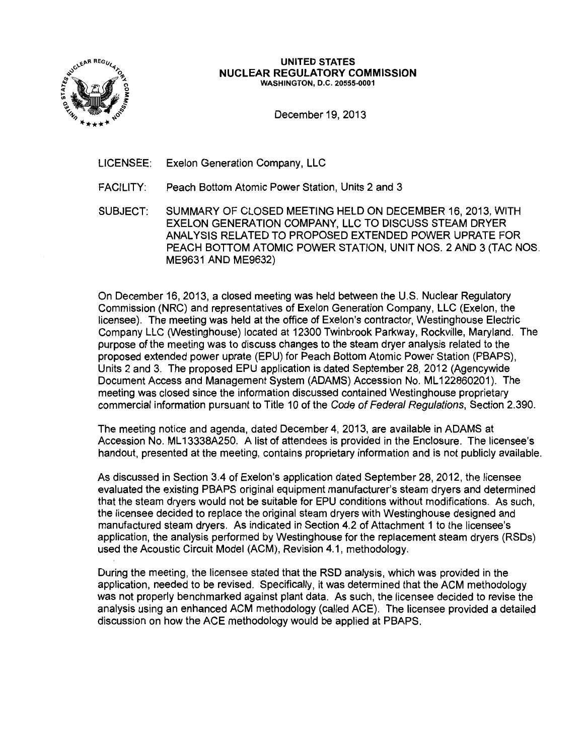

#### UNITED STATES NUCLEAR REGULATORY COMMISSION WASHINGTON, D.C. 20555-0001

December 19, 2013

LICENSEE: Exelon Generation Company, LLC

- FACILITY: Peach Bottom Atomic Power Station, Units 2 and 3
- SUBJECT: SUMMARY OF CLOSED MEETING HELD ON DECEMBER 16,2013, WITH EXELON GENERATION COMPANY, LLC TO DISCUSS STEAM DRYER ANALYSIS RELATED TO PROPOSED EXTENDED POWER UPRATE FOR PEACH BOTTOM ATOMIC POWER STATION, UNIT NOS. 2 AND 3 (TAC NOS. ME9631 AND ME9632)

On December 16, 2013, a closed meeting was held between the U.S. Nuclear Regulatory Commission (NRC) and representatives of Exelon Generation Company, LLC (Exelon, the licensee). The meeting was held at the office of Exelon's contractor, Westinghouse Electric Company LLC (Westinghouse) located at 12300 Twinbrook Parkway, Rockville, Maryland. The purpose of the meeting was to discuss changes to the steam dryer analysis related to the proposed extended power uprate (EPU) for Peach Bottom Atomic Power Station (PBAPS), Units 2 and 3. The proposed EPU application is dated September 28, 2012 (Agencywide Document Access and Management System (ADAMS) Accession No. ML 122860201 ). The meeting was closed since the information discussed contained Westinghouse proprietary commercial information pursuant to Title 10 of the Code of Federal Regulations, Section 2.390.

The meeting notice and agenda, dated December 4, 2013, are available in ADAMS at Accession No. ML 13338A250. A list of attendees is provided in the Enclosure. The licensee's handout, presented at the meeting, contains proprietary information and is not publicly available.

As discussed in Section 3.4 of Exelon's application dated September 28, 2012, the licensee evaluated the existing PBAPS original equipment manufacturer's steam dryers and determined that the steam dryers would not be suitable for EPU conditions without modifications. As such, the licensee decided to replace the original steam dryers with Westinghouse designed and manufactured steam dryers. As indicated in Section 4.2 of Attachment 1 to the licensee's application, the analysis performed by Westinghouse for the replacement steam dryers (RSDs) used the Acoustic Circuit Model (ACM), Revision 4.1, methodology.

During the meeting, the licensee stated that the RSD analysis, which was provided in the application, needed to be revised. Specifically, it was determined that the ACM methodology was not properly benchmarked against plant data. As such, the licensee decided to revise the analysis using an enhanced ACM methodology (called ACE). The licensee provided a detailed discussion on how the ACE methodology would be applied at PBAPS.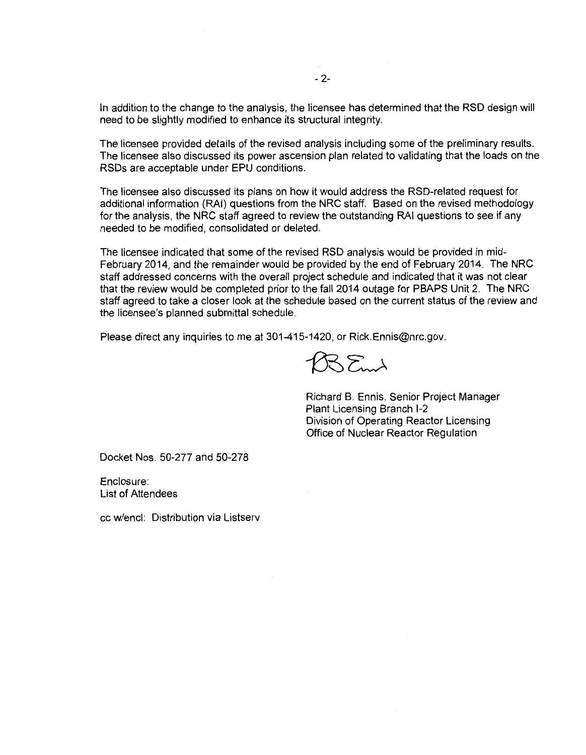In addition to the change to the analysis, the licensee has determined that the RSD design will need to be slightly modified to enhance its structural integrity.

The licensee provided details of the revised analysis including some of the preliminary results. The licensee also discussed its power ascension plan related to validating that the loads on the RSDs are acceptable under EPU conditions.

The licensee also discussed its plans on how it would address the RSD-related request for additional information (RAI) questions from the NRC staff. Based on the revised methodology for the analysis, the NRC staff agreed to review the outstanding RAI questions to see if any needed to be modified, consolidated or deleted.

The licensee indicated that some of the revised RSD analysis would be provided in mid-February 2014, and the remainder would be provided by the end of February 2014. The NRC staff addressed concerns with the overall project schedule and indicated that it was not clear that the review would be completed prior to the fall 2014 outage for PBAPS Unit 2. The NRC staff agreed to take a closer look at the schedule based on the current status of the review and the licensee's planned submittal schedule.

Please direct any inquiries to me at 301-415-1420, or Rick.Ennis@nrc.gov.

 $1035$ md

Richard B. Ennis, Senior Project Manager Plant Licensing Branch 1-2 Division of Operating Reactor Licensing Office of Nuclear Reactor Regulation

Docket Nos. 50-277 and 50-278

Enclosure: List of Attendees

cc w/encl: Distribution via Listserv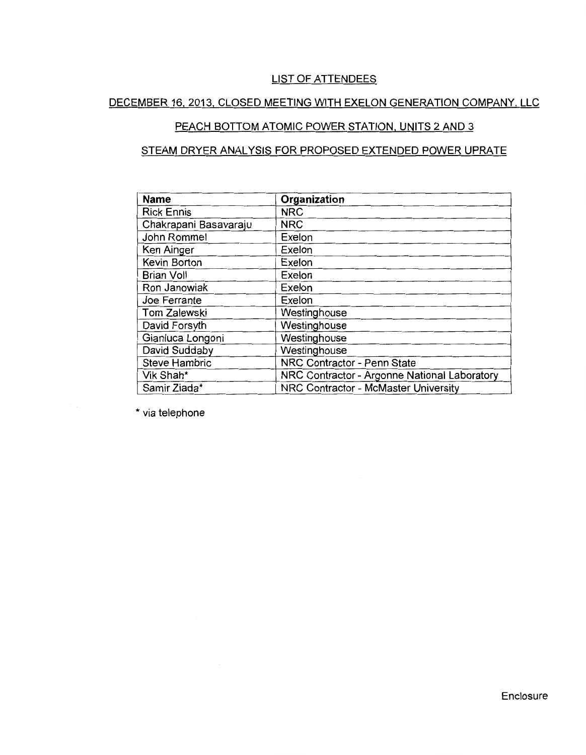### LIST OF ATTENDEES

# DECEMBER 16.2013. CLOSED MEETING WITH EXELON GENERATION COMPANY. LLC

## PEACH BOTTOM ATOMIC POWER STATION, UNITS 2 AND 3

## STEAM DRYER ANALYSIS FOR PROPOSED EXTENDED POWER UPRATE

| <b>Name</b>           | Organization                                 |
|-----------------------|----------------------------------------------|
| <b>Rick Ennis</b>     | <b>NRC</b>                                   |
| Chakrapani Basavaraju | <b>NRC</b>                                   |
| John Rommel           | Exelon                                       |
| Ken Ainger            | Exelon                                       |
| Kevin Borton          | Exelon                                       |
| <b>Brian Voll</b>     | Exelon                                       |
| Ron Janowiak          | Exelon                                       |
| Joe Ferrante          | Exelon                                       |
| Tom Zalewski          | Westinghouse                                 |
| David Forsyth         | Westinghouse                                 |
| Gianluca Longoni      | Westinghouse                                 |
| David Suddaby         | Westinghouse                                 |
| <b>Steve Hambric</b>  | NRC Contractor - Penn State                  |
| Vik Shah*             | NRC Contractor - Argonne National Laboratory |
| Samir Ziada*          | NRC Contractor - McMaster University         |

\* via telephone